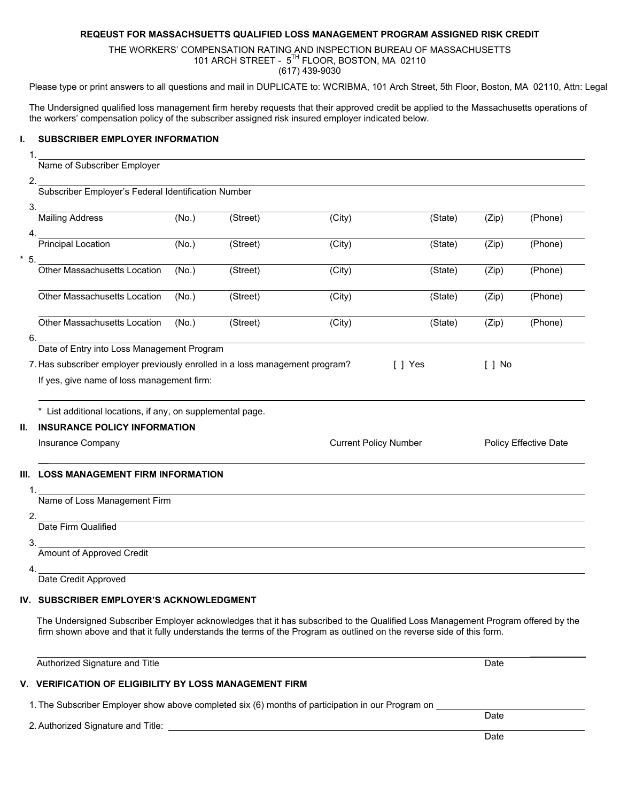## **REQEUST FOR MASSACHSUETTS QUALIFIED LOSS MANAGEMENT PROGRAM ASSIGNED RISK CREDIT**

THE WORKERS' COMPENSATION RATING AND INSPECTION BUREAU OF MASSACHUSETTS 101 ARCH STREET - 5TH FLOOR, BOSTON, MA 02110 (617) 439-9030

Please type or print answers to all questions and mail in DUPLICATE to: WCRIBMA, 101 Arch Street, 5th Floor, Boston, MA 02110, Attn: Legal

The Undersigned qualified loss management firm hereby requests that their approved credit be applied to the Massachusetts operations of the workers' compensation policy of the subscriber assigned risk insured employer indicated below.

#### **I. SUBSCRIBER EMPLOYER INFORMATION**

1.

### Name of Subscriber Employer

| ٦<br>۰, |  |
|---------|--|
| v<br>I  |  |
|         |  |

Subscriber Employer's Federal Identification Number

| З.                                                                           |                                     |       |          |        |          |       |         |
|------------------------------------------------------------------------------|-------------------------------------|-------|----------|--------|----------|-------|---------|
|                                                                              | <b>Mailing Address</b>              | (No.) | (Street) | (City) | (State)  | (Zip) | (Phone) |
| 4.                                                                           |                                     |       |          |        |          |       |         |
|                                                                              | Principal Location                  | (No.) | (Street) | (City) | (State)  | (Zip) | (Phone) |
| $*5$ .                                                                       |                                     |       |          |        |          |       |         |
|                                                                              | <b>Other Massachusetts Location</b> | (No.) | (Street) | (City) | (State)  | (Zip) | (Phone) |
|                                                                              |                                     |       |          |        |          |       |         |
|                                                                              | <b>Other Massachusetts Location</b> | (No.) | (Street) | (City) | (State)  | (Zip) | (Phone) |
|                                                                              |                                     |       |          |        |          |       |         |
|                                                                              | <b>Other Massachusetts Location</b> | (No.) | (Street) | (City) | (State)  | (Zip) | (Phone) |
| 6.                                                                           |                                     |       |          |        |          |       |         |
| Date of Entry into Loss Management Program                                   |                                     |       |          |        |          |       |         |
| 7. Has subscriber employer previously enrolled in a loss management program? |                                     |       |          | Yes    | No<br>-1 |       |         |

If yes, give name of loss management firm:

\* List additional locations, if any, on supplemental page.

#### **II. INSURANCE POLICY INFORMATION**

| Insurance Company | <b>Current Policy Number</b> | Policy Effective Date |  |
|-------------------|------------------------------|-----------------------|--|
|                   |                              |                       |  |

## **III. LOSS MANAGEMENT FIRM INFORMATION**

| Name of Loss Management Firm |
|------------------------------|
|                              |
| Date Firm Qualified          |
|                              |
| Amount of Approved Credit    |
|                              |

Date Credit Approved

#### **IV. SUBSCRIBER EMPLOYER'S ACKNOWLEDGMENT**

 The Undersigned Subscriber Employer acknowledges that it has subscribed to the Qualified Loss Management Program offered by the firm shown above and that it fully understands the terms of the Program as outlined on the reverse side of this form.

| Authorized Signature and Title                                                                    | Date |
|---------------------------------------------------------------------------------------------------|------|
| V. VERIFICATION OF ELIGIBILITY BY LOSS MANAGEMENT FIRM                                            |      |
| 1. The Subscriber Employer show above completed six (6) months of participation in our Program on |      |
| 2. Authorized Signature and Title:                                                                | Date |
|                                                                                                   | Date |